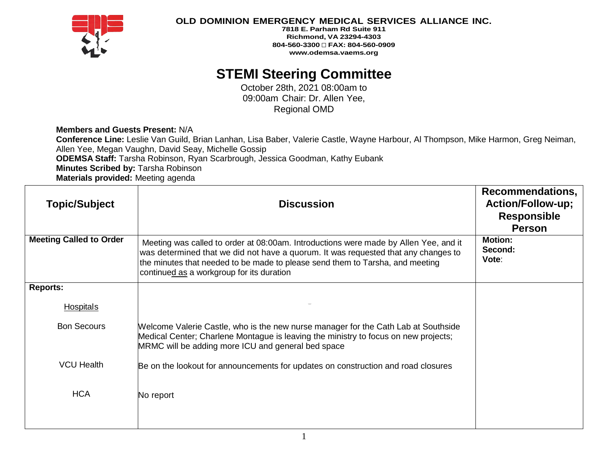

### **OLD DOMINION EMERGENCY MEDICAL SERVICES ALLIANCE INC.**

**7818 E. Parham Rd Suite 911 Richmond, VA 23294-4303 804-560-3300 FAX: 804-560-0909 www.odemsa.vaems.org**

# **STEMI Steering Committee**

October 28th, 2021 08:00am to 09:00am Chair: Dr. Allen Yee, Regional OMD

#### **Members and Guests Present:** N/A

**Conference Line:** Leslie Van Guild, Brian Lanhan, Lisa Baber, Valerie Castle, Wayne Harbour, Al Thompson, Mike Harmon, Greg Neiman, Allen Yee, Megan Vaughn, David Seay, Michelle Gossip **ODEMSA Staff:** Tarsha Robinson, Ryan Scarbrough, Jessica Goodman, Kathy Eubank **Minutes Scribed by:** Tarsha Robinson **Materials provided:** Meeting agenda

| <b>Topic/Subject</b>           | <b>Discussion</b>                                                                                                                                                                                                                                                                                        | Recommendations,<br><b>Action/Follow-up;</b><br><b>Responsible</b><br><b>Person</b> |
|--------------------------------|----------------------------------------------------------------------------------------------------------------------------------------------------------------------------------------------------------------------------------------------------------------------------------------------------------|-------------------------------------------------------------------------------------|
| <b>Meeting Called to Order</b> | Meeting was called to order at 08:00am. Introductions were made by Allen Yee, and it<br>was determined that we did not have a quorum. It was requested that any changes to<br>the minutes that needed to be made to please send them to Tarsha, and meeting<br>continued as a workgroup for its duration | <b>Motion:</b><br>Second:<br>Vote:                                                  |
| <b>Reports:</b>                |                                                                                                                                                                                                                                                                                                          |                                                                                     |
| <b>Hospitals</b>               |                                                                                                                                                                                                                                                                                                          |                                                                                     |
| <b>Bon Secours</b>             | Welcome Valerie Castle, who is the new nurse manager for the Cath Lab at Southside<br>Medical Center; Charlene Montague is leaving the ministry to focus on new projects;<br>MRMC will be adding more ICU and general bed space                                                                          |                                                                                     |
| <b>VCU Health</b>              | Be on the lookout for announcements for updates on construction and road closures                                                                                                                                                                                                                        |                                                                                     |
| <b>HCA</b>                     | No report                                                                                                                                                                                                                                                                                                |                                                                                     |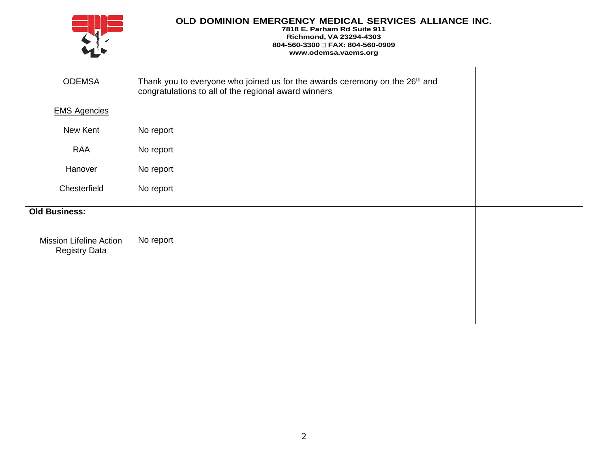

## **OLD DOMINION EMERGENCY MEDICAL SERVICES ALLIANCE INC.**

#### **7818 E. Parham Rd Suite 911 Richmond, VA 23294-4303 804-560-3300 FAX: 804-560-0909 www.odemsa.vaems.org**

| <b>ODEMSA</b>                                          | Thank you to everyone who joined us for the awards ceremony on the 26 <sup>th</sup> and<br>congratulations to all of the regional award winners |  |
|--------------------------------------------------------|-------------------------------------------------------------------------------------------------------------------------------------------------|--|
| <b>EMS Agencies</b>                                    |                                                                                                                                                 |  |
| New Kent                                               | No report                                                                                                                                       |  |
| <b>RAA</b>                                             | No report                                                                                                                                       |  |
| Hanover                                                | No report                                                                                                                                       |  |
| Chesterfield                                           | No report                                                                                                                                       |  |
| <b>Old Business:</b>                                   |                                                                                                                                                 |  |
| <b>Mission Lifeline Action</b><br><b>Registry Data</b> | No report                                                                                                                                       |  |
|                                                        |                                                                                                                                                 |  |
|                                                        |                                                                                                                                                 |  |